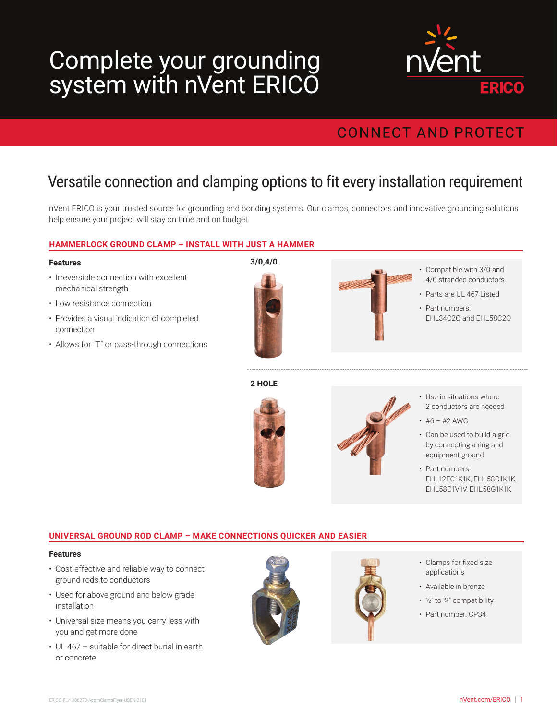# Complete your grounding system with nVent ERICO



## **CONNECT AND PROTECT**

## Versatile connection and clamping options to fit every installation requirement

nVent ERICO is your trusted source for grounding and bonding systems. Our clamps, connectors and innovative grounding solutions help ensure your project will stay on time and on budget.

### **HAMMERLOCK GROUND CLAMP – INSTALL WITH JUST A HAMMER**

#### **Features**

- Irreversible connection with excellent mechanical strength
- Low resistance connection
- Provides a visual indication of completed connection
- Allows for "T" or pass-through connections

**3/0,4/0**



**2 HOLE**

- Compatible with 3/0 and 4/0 stranded conductors
- Parts are UL 467 Listed
- Part numbers: EHL34C2Q and EHL58C2Q

• Use in situations where 2 conductors are needed  $\cdot$  #6 – #2 AWG • Can be used to build a grid by connecting a ring and

equipment ground • Part numbers: EHL12FC1K1K, EHL58C1K1K, EHL58C1V1V, EHL58G1K1K

### **UNIVERSAL GROUND ROD CLAMP – MAKE CONNECTIONS QUICKER AND EASIER**

#### **Features**

- Cost-effective and reliable way to connect ground rods to conductors
- Used for above ground and below grade installation
- Universal size means you carry less with you and get more done
- UL 467 suitable for direct burial in earth or concrete





- Clamps for fixed size applications
- Available in bronze
- ½" to ¾" compatibility
- Part number: CP34